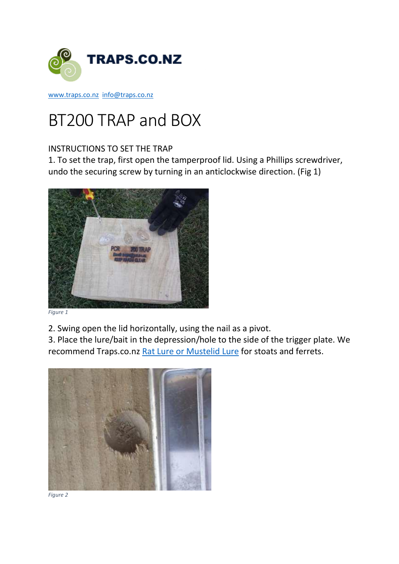

[www.traps.co.nz](http://www.traps.co.nz/) [info@traps.co.nz](mailto:info@traps.co.nz)

## BT200 TRAP and BOX

## INSTRUCTIONS TO SET THE TRAP

1. To set the trap, first open the tamperproof lid. Using a Phillips screwdriver, undo the securing screw by turning in an anticlockwise direction. (Fig 1)



*Figure 1*

2. Swing open the lid horizontally, using the nail as a pivot.

3. Place the lure/bait in the depression/hole to the side of the trigger plate. We recommend Traps.co.nz [Rat Lure or Mustelid Lure](https://www.traps.co.nz/lures) for stoats and ferrets.



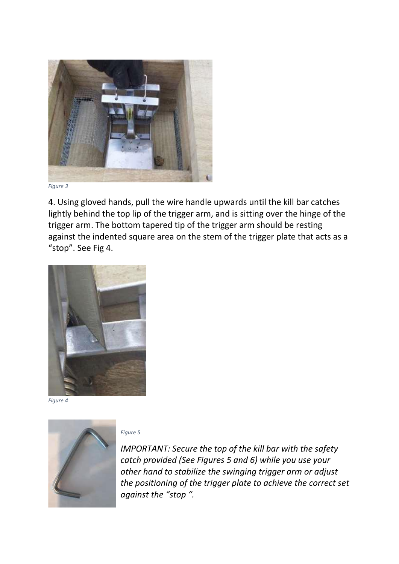

*Figure 3*

4. Using gloved hands, pull the wire handle upwards until the kill bar catches lightly behind the top lip of the trigger arm, and is sitting over the hinge of the trigger arm. The bottom tapered tip of the trigger arm should be resting against the indented square area on the stem of the trigger plate that acts as a "stop". See Fig 4.



*Figure 4*



*Figure 5*

*IMPORTANT: Secure the top of the kill bar with the safety catch provided (See Figures 5 and 6) while you use your other hand to stabilize the swinging trigger arm or adjust the positioning of the trigger plate to achieve the correct set against the "stop ".*